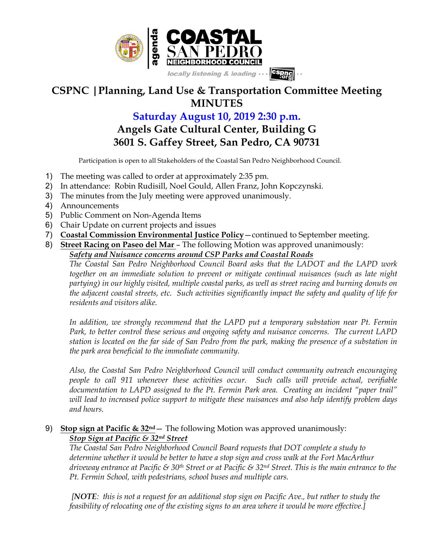

## **CSPNC |Planning, Land Use & Transportation Committee Meeting MINUTES**

## **Saturday August 10, 2019 2:30 p.m. Angels Gate Cultural Center, Building G**

## **3601 S. Gaffey Street, San Pedro, CA 90731**

Participation is open to all Stakeholders of the Coastal San Pedro Neighborhood Council.

- 1) The meeting was called to order at approximately 2:35 pm.
- 2) In attendance: Robin Rudisill, Noel Gould, Allen Franz, John Kopczynski.
- 3) The minutes from the July meeting were approved unanimously.
- 4) Announcements
- 5) Public Comment on Non-Agenda Items
- 6) Chair Update on current projects and issues
- 7) **Coastal Commission Environmental Justice Policy**—continued to September meeting.
- 8) **Street Racing on Paseo del Mar**  The following Motion was approved unanimously:

*Safety and Nuisance concerns around CSP Parks and Coastal Roads*

*The Coastal San Pedro Neighborhood Council Board asks that the LADOT and the LAPD work together on an immediate solution to prevent or mitigate continual nuisances (such as late night partying) in our highly visited, multiple coastal parks, as well as street racing and burning donuts on the adjacent coastal streets, etc. Such activities significantly impact the safety and quality of life for residents and visitors alike.*

*In addition, we strongly recommend that the LAPD put a temporary substation near Pt. Fermin Park, to better control these serious and ongoing safety and nuisance concerns. The current LAPD station is located on the far side of San Pedro from the park, making the presence of a substation in the park area beneficial to the immediate community.*

*Also, the Coastal San Pedro Neighborhood Council will conduct community outreach encouraging people to call 911 whenever these activities occur. Such calls will provide actual, verifiable documentation to LAPD assigned to the Pt. Fermin Park area. Creating an incident "paper trail" will lead to increased police support to mitigate these nuisances and also help identify problem days and hours.*

## 9) **Stop sign at Pacific & 32nd**— The following Motion was approved unanimously: *Stop Sign at Pacific & 32nd Street*

*The Coastal San Pedro Neighborhood Council Board requests that DOT complete a study to determine whether it would be better to have a stop sign and cross walk at the Fort MacArthur driveway entrance at Pacific & 30th Street or at Pacific & 32nd Street. This is the main entrance to the Pt. Fermin School, with pedestrians, school buses and multiple cars.*

*[NOTE: this is not a request for an additional stop sign on Pacific Ave., but rather to study the feasibility of relocating one of the existing signs to an area where it would be more effective.]*